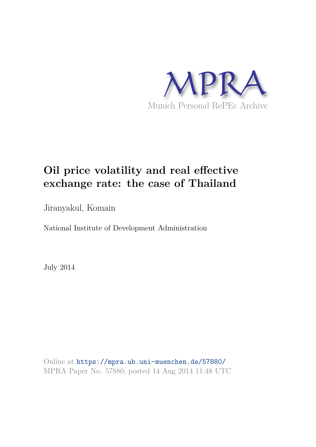

# **Oil price volatility and real effective exchange rate: the case of Thailand**

Jiranyakul, Komain

National Institute of Development Administration

July 2014

Online at https://mpra.ub.uni-muenchen.de/57880/ MPRA Paper No. 57880, posted 14 Aug 2014 11:48 UTC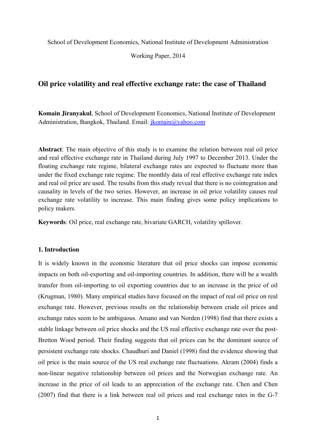School of Development Economics, National Institute of Development Administration

Working Paper, 2014

## **Oil price volatility and real effective exchange rate: the case of Thailand**

**Komain Jiranyakul**, School of Development Economics, National Institute of Development Administration, Bangkok, Thailand. Email: jkomain@yahoo.com

**Abstract**: The main objective of this study is to examine the relation between real oil price and real effective exchange rate in Thailand during July 1997 to December 2013. Under the floating exchange rate regime, bilateral exchange rates are expected to fluctuate more than under the fixed exchange rate regime. The monthly data of real effective exchange rate index and real oil price are used. The results from this study reveal that there is no cointegration and causality in levels of the two series. However, an increase in oil price volatility causes real exchange rate volatility to increase. This main finding gives some policy implications to policy makers.

**Keywords**: Oil price, real exchange rate, bivariate GARCH, volatility spillover.

## **1. Introduction**

It is widely known in the economic literature that oil price shocks can impose economic impacts on both oil-exporting and oil-importing countries. In addition, there will be a wealth transfer from oil-importing to oil exporting countries due to an increase in the price of oil (Krugman, 1980). Many empirical studies have focused on the impact of real oil price on real exchange rate. However, previous results on the relationship between crude oil prices and exchange rates seem to be ambiguous. Amano and van Norden (1998) find that there exists a stable linkage between oil price shocks and the US real effective exchange rate over the post-Bretton Wood period. Their finding suggests that oil prices can be the dominant source of persistent exchange rate shocks. Chaudhuri and Daniel (1998) find the evidence showing that oil price is the main source of the US real exchange rate fluctuations. Akram (2004) finds a non-linear negative relationship between oil prices and the Norwegian exchange rate. An increase in the price of oil leads to an appreciation of the exchange rate. Chen and Chen (2007) find that there is a link between real oil prices and real exchange rates in the G-7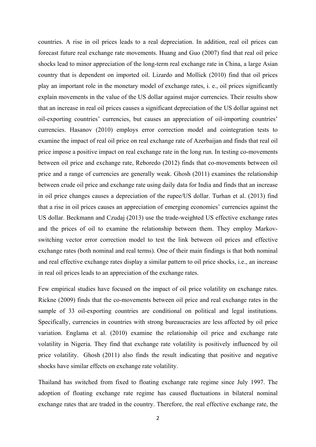countries. A rise in oil prices leads to a real depreciation. In addition, real oil prices can forecast future real exchange rate movements. Huang and Guo (2007) find that real oil price shocks lead to minor appreciation of the long-term real exchange rate in China, a large Asian country that is dependent on imported oil. Lizardo and Mollick (2010) find that oil prices play an important role in the monetary model of exchange rates, i. e., oil prices significantly explain movements in the value of the US dollar against major currencies. Their results show that an increase in real oil prices causes a significant depreciation of the US dollar against net oil-exporting countries' currencies, but causes an appreciation of oil-importing countries' currencies. Hasanov (2010) employs error correction model and cointegration tests to examine the impact of real oil price on real exchange rate of Azerbaijan and finds that real oil price impose a positive impact on real exchange rate in the long run. In testing co-movements between oil price and exchange rate, Reboredo (2012) finds that co-movements between oil price and a range of currencies are generally weak. Ghosh (2011) examines the relationship between crude oil price and exchange rate using daily data for India and finds that an increase in oil price changes causes a depreciation of the rupee/US dollar. Turhan et al. (2013) find that a rise in oil prices causes an appreciation of emerging economies' currencies against the US dollar. Beckmann and Czudaj (2013) use the trade-weighted US effective exchange rates and the prices of oil to examine the relationship between them. They employ Markovswitching vector error correction model to test the link between oil prices and effective exchange rates (both nominal and real terms). One of their main findings is that both nominal and real effective exchange rates display a similar pattern to oil price shocks, i.e., an increase in real oil prices leads to an appreciation of the exchange rates.

Few empirical studies have focused on the impact of oil price volatility on exchange rates. Rickne (2009) finds that the co-movements between oil price and real exchange rates in the sample of 33 oil-exporting countries are conditional on political and legal institutions. Specifically, currencies in countries with strong bureaucracies are less affected by oil price variation. Englama et al. (2010) examine the relationship oil price and exchange rate volatility in Nigeria. They find that exchange rate volatility is positively influenced by oil price volatility. Ghosh (2011) also finds the result indicating that positive and negative shocks have similar effects on exchange rate volatility.

Thailand has switched from fixed to floating exchange rate regime since July 1997. The adoption of floating exchange rate regime has caused fluctuations in bilateral nominal exchange rates that are traded in the country. Therefore, the real effective exchange rate, the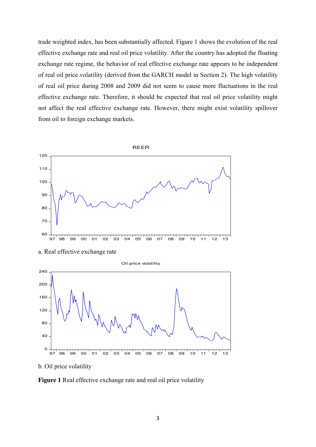trade weighted index, has been substantially affected. Figure 1 shows the evolution of the real effective exchange rate and real oil price volatility. After the country has adopted the floating exchange rate regime, the behavior of real effective exchange rate appears to be independent of real oil price volatility (derived from the GARCH model in Section 2). The high volatility of real oil price during 2008 and 2009 did not seem to cause more fluctuations in the real effective exchange rate. Therefore, it should be expected that real oil price volatility might not affect the real effective exchange rate. However, there might exist volatility spillover from oil to foreign exchange markets.



a. Real effective exchange rate

Oil price volatility



b. Oil price volatility

**Figure 1** Real effective exchange rate and real oil price volatility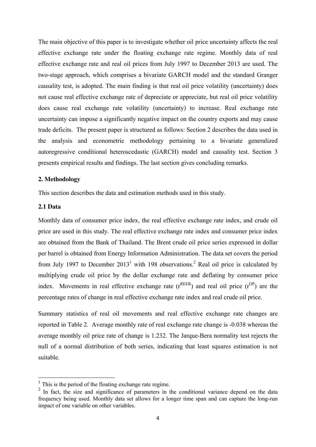The main objective of this paper is to investigate whether oil price uncertainty affects the real effective exchange rate under the floating exchange rate regime. Monthly data of real effective exchange rate and real oil prices from July 1997 to December 2013 are used. The two-stage approach, which comprises a bivariate GARCH model and the standard Granger causality test, is adopted. The main finding is that real oil price volatility (uncertainty) does not cause real effective exchange rate of depreciate or appreciate, but real oil price volatility does cause real exchange rate volatility (uncertainty) to increase. Real exchange rate uncertainty can impose a significantly negative impact on the country exports and may cause trade deficits. The present paper is structured as follows: Section 2 describes the data used in the analysis and econometric methodology pertaining to a bivariate generalized autoregressive conditional heteroscedastic (GARCH) model and causality test. Section 3 presents empirical results and findings. The last section gives concluding remarks.

## **2. Methodology**

This section describes the data and estimation methods used in this study.

## **2.1 Data**

Monthly data of consumer price index, the real effective exchange rate index, and crude oil price are used in this study. The real effective exchange rate index and consumer price index are obtained from the Bank of Thailand. The Brent crude oil price series expressed in dollar per barrel is obtained from Energy Information Administration. The data set covers the period from July 1997 to December  $2013<sup>1</sup>$  with 198 observations.<sup>2</sup> Real oil price is calculated by multiplying crude oil price by the dollar exchange rate and deflating by consumer price index. Movements in real effective exchange rate  $(r^{REER})$  and real oil price  $(r^{OP})$  are the percentage rates of change in real effective exchange rate index and real crude oil price.

Summary statistics of real oil movements and real effective exchange rate changes are reported in Table 2. Average monthly rate of real exchange rate change is -0.038 whereas the average monthly oil price rate of change is 1.232. The Jarque-Bera normality test rejects the null of a normal distribution of both series, indicating that least squares estimation is not suitable.

<sup>&</sup>lt;sup>1</sup> This is the period of the floating exchange rate regime.

<sup>&</sup>lt;sup>2</sup> In fact, the size and significance of parameters in the conditional variance depend on the data frequency being used. Monthly data set allows for a longer time span and can capture the long-run impact of one variable on other variables.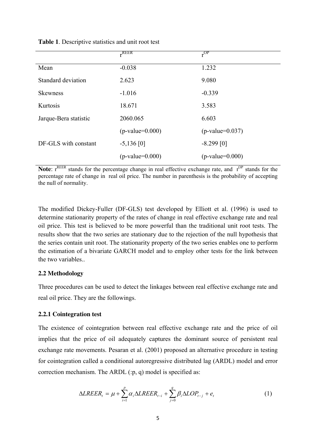|                       | $r$ REER          | $r^{OP}$          |
|-----------------------|-------------------|-------------------|
| Mean                  | $-0.038$          | 1.232             |
| Standard deviation    | 2.623             | 9.080             |
| <b>Skewness</b>       | $-1.016$          | $-0.339$          |
| Kurtosis              | 18.671            | 3.583             |
| Jarque-Bera statistic | 2060.065          | 6.603             |
|                       | $(p-value=0.000)$ | $(p-value=0.037)$ |
| DF-GLS with constant  | $-5,136$ [0]      | $-8.299$ [0]      |
|                       | $(p-value=0.000)$ | $(p-value=0.000)$ |
|                       |                   |                   |

#### **Table 1**. Descriptive statistics and unit root test

Note: r<sup>REER</sup> stands for the percentage change in real effective exchange rate, and r<sup>OP</sup> stands for the percentage rate of change in real oil price. The number in parenthesis is the probability of accepting the null of normality.

The modified Dickey-Fuller (DF-GLS) test developed by Elliott et al. (1996) is used to determine stationarity property of the rates of change in real effective exchange rate and real oil price. This test is believed to be more powerful than the traditional unit root tests. The results show that the two series are stationary due to the rejection of the null hypothesis that the series contain unit root. The stationarity property of the two series enables one to perform the estimation of a bivariate GARCH model and to employ other tests for the link between the two variables..

## **2.2 Methodology**

Three procedures can be used to detect the linkages between real effective exchange rate and real oil price. They are the followings.

## **2.2.1 Cointegration test**

The existence of cointegration between real effective exchange rate and the price of oil implies that the price of oil adequately captures the dominant source of persistent real exchange rate movements. Pesaran et al. (2001) proposed an alternative procedure in testing for cointegration called a conditional autoregressive distributed lag (ARDL) model and error correction mechanism. The ARDL (:p, q) model is specified as:

$$
\Delta LREER_t = \mu + \sum_{i=1}^{p} \alpha_i \Delta LREER_{t-i} + \sum_{j=0}^{q} \beta_i \Delta LOP_{t-j} + e_t
$$
 (1)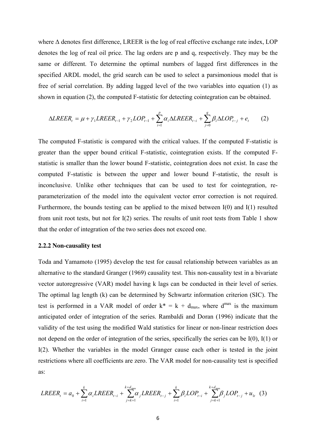where  $\Delta$  denotes first difference, LREER is the log of real effective exchange rate index, LOP denotes the log of real oil price. The lag orders are p and q, respectively. They may be the same or different. To determine the optimal numbers of lagged first differences in the specified ARDL model, the grid search can be used to select a parsimonious model that is free of serial correlation. By adding lagged level of the two variables into equation (1) as shown in equation (2), the computed F-statistic for detecting cointegration can be obtained.

$$
\Delta LREER_{t} = \mu + \gamma_{1} LREER_{t-1} + \gamma_{2} LOP_{t-1} + \sum_{i=1}^{p} \alpha_{i} \Delta LREER_{t-i} + \sum_{j=0}^{q} \beta_{i} \Delta LOP_{t-j} + e_{t}
$$
 (2)

The computed F-statistic is compared with the critical values. If the computed F-statistic is greater than the upper bound critical F-statistic, cointegration exists. If the computed Fstatistic is smaller than the lower bound F-statistic, cointegration does not exist. In case the computed F-statistic is between the upper and lower bound F-statistic, the result is inconclusive. Unlike other techniques that can be used to test for cointegration, reparameterization of the model into the equivalent vector error correction is not required. Furthermore, the bounds testing can be applied to the mixed between I(0) and I(1) resulted from unit root tests, but not for I(2) series. The results of unit root tests from Table 1 show that the order of integration of the two series does not exceed one.

#### **2.2.2 Non-causality test**

Toda and Yamamoto (1995) develop the test for causal relationship between variables as an alternative to the standard Granger (1969) causality test. This non-causality test in a bivariate vector autoregressive (VAR) model having k lags can be conducted in their level of series. The optimal lag length (k) can be determined by Schwartz information criterion (SIC). The test is performed in a VAR model of order  $k^* = k + d_{max}$ , where  $d^{max}$  is the maximum anticipated order of integration of the series. Rambaldi and Doran (1996) indicate that the validity of the test using the modified Wald statistics for linear or non-linear restriction does not depend on the order of integration of the series, specifically the series can be I(0), I(1) or I(2). Whether the variables in the model Granger cause each other is tested in the joint restrictions where all coefficients are zero. The VAR model for non-causality test is specified as:

$$
LREER_{t} = a_{0} + \sum_{i=1}^{k} \alpha_{i} LREER_{t-i} + \sum_{j=k+1}^{k+d_{\text{max}}} \alpha_{j} LREER_{t-j} + \sum_{i=1}^{k} \beta_{i} LOP_{t-i} + \sum_{j=k+1}^{k+d_{\text{max}}} \beta_{j} LOP_{t-j} + u_{1t} \quad (3)
$$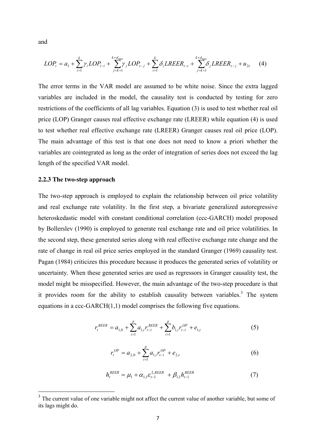and

$$
LOP_{t} = a_{1} + \sum_{i=1}^{k} \gamma_{i} LOP_{t-i} + \sum_{j=k+1}^{k+d_{\text{max}}} \gamma_{j} LOP_{t-j} + \sum_{i=1}^{k} \delta_{i} LREER_{t-i} + \sum_{j=k+1}^{k+d_{\text{max}}} \delta_{j} LREER_{t-j} + u_{2t}
$$
(4)

The error terms in the VAR model are assumed to be white noise. Since the extra lagged variables are included in the model, the causality test is conducted by testing for zero restrictions of the coefficients of all lag variables. Equation (3) is used to test whether real oil price (LOP) Granger causes real effective exchange rate (LREER) while equation (4) is used to test whether real effective exchange rate (LREER) Granger causes real oil price (LOP). The main advantage of this test is that one does not need to know a priori whether the variables are cointegrated as long as the order of integration of series does not exceed the lag length of the specified VAR model.

### **2.2.3 The two-step approach**

The two-step approach is employed to explain the relationship between oil price volatility and real exchange rate volatility. In the first step, a bivariate generalized autoregressive heteroskedastic model with constant conditional correlation (ccc-GARCH) model proposed by Bollerslev (1990) is employed to generate real exchange rate and oil price volatilities. In the second step, these generated series along with real effective exchange rate change and the rate of change in real oil price series employed in the standard Granger (1969) causality test. Pagan (1984) criticizes this procedure because it produces the generated series of volatility or uncertainty. When these generated series are used as regressors in Granger causality test, the model might be misspecified. However, the main advantage of the two-step procedure is that it provides room for the ability to establish causality between variables.<sup>3</sup> The system equations in a ccc-GARCH(1,1) model comprises the following five equations.

$$
r_t^{REER} = a_{1,0} + \sum_{i=1}^p a_{1,i} r_{t-i}^{REER} + \sum_{i=1}^p b_{1,i} r_{t-i}^{OP} + e_{1,t}
$$
(5)

$$
r_t^{OP} = a_{2,0} + \sum_{i=1}^{p} a_{1,i} r_{t-i}^{OP} + e_{2,t}
$$
 (6)

$$
h_t^{REER} = \mu_1 + \alpha_{1,1} \varepsilon_{t-1}^{2,REER} + \beta_{1,1} h_{t-1}^{REER}
$$
 (7)

<sup>&</sup>lt;sup>3</sup> The current value of one variable might not affect the current value of another variable, but some of its lags might do.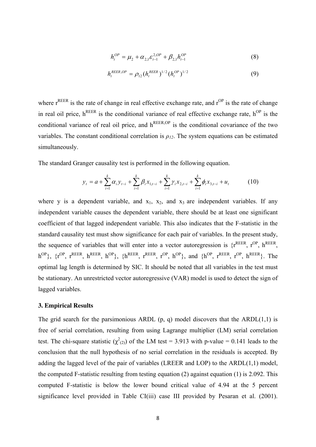$$
h_t^{OP} = \mu_2 + \alpha_{2,1} \varepsilon_{t-1}^{2,OP} + \beta_{2,1} h_{t-1}^{OP}
$$
 (8)

$$
h_t^{REER,OP} = \rho_{12} (h_t^{REER})^{1/2} (h_t^{OP})^{1/2}
$$
 (9)

where  $r^{\text{REER}}$  is the rate of change in real effective exchange rate, and  $r^{\text{OP}}$  is the rate of change in real oil price,  $h^{REER}$  is the conditional variance of real effective exchange rate,  $h^{OP}$  is the conditional variance of real oil price, and  $h^{REER,OP}$  is the conditional covariance of the two variables. The constant conditional correlation is  $\rho_{12}$ . The system equations can be estimated simultaneously.

The standard Granger causality test is performed in the following equation.

$$
y_{t} = a + \sum_{i=1}^{k} \alpha_{i} y_{t-i} + \sum_{i=1}^{k} \beta_{i} x_{1,t-i} + \sum_{i=1}^{k} \gamma_{i} x_{2,t-i} + \sum_{i=1}^{k} \phi_{i} x_{3,t-i} + u_{t}
$$
(10)

where y is a dependent variable, and  $x_1$ ,  $x_2$ , and  $x_3$  are independent variables. If any independent variable causes the dependent variable, there should be at least one significant coefficient of that lagged independent variable. This also indicates that the F-statistic in the standard causality test must show significance for each pair of variables. In the present study, the sequence of variables that will enter into a vector autoregression is  $\{r^{REER}, r^{OP}, h^{REER}, r^{OP}\}$  $h^{OP}$ },  $\{r^{OP}$ ,  $r^{REER}$ ,  $h^{REER}$ ,  $h^{OP}$ },  $\{h^{REER}$ ,  $r^{RP}$ ,  $r^{OP}$ ,  $h^{OP}$ }, and  $\{h^{OP}$ ,  $r^{REER}$ ,  $r^{OP}$ ,  $h^{REER}$ }. The optimal lag length is determined by SIC. It should be noted that all variables in the test must be stationary. An unrestricted vector autoregressive (VAR) model is used to detect the sign of lagged variables.

## **3. Empirical Results**

The grid search for the parsimonious ARDL  $(p, q)$  model discovers that the ARDL $(1,1)$  is free of serial correlation, resulting from using Lagrange multiplier (LM) serial correlation test. The chi-square statistic  $(\chi^2_{(2)})$  of the LM test = 3.913 with p-value = 0.141 leads to the conclusion that the null hypothesis of no serial correlation in the residuals is accepted. By adding the lagged level of the pair of variables (LREER and LOP) to the ARDL(1,1) model, the computed F-statistic resulting from testing equation (2) against equation (1) is 2.092. This computed F-statistic is below the lower bound critical value of 4.94 at the 5 percent significance level provided in Table CI(iii) case III provided by Pesaran et al. (2001).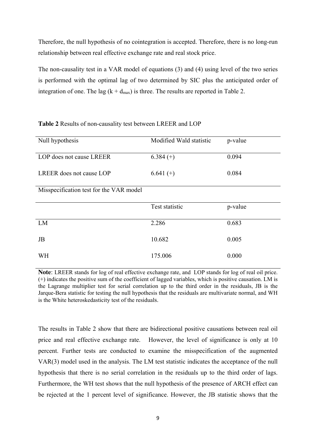Therefore, the null hypothesis of no cointegration is accepted. Therefore, there is no long-run relationship between real effective exchange rate and real stock price.

The non-causality test in a VAR model of equations (3) and (4) using level of the two series is performed with the optimal lag of two determined by SIC plus the anticipated order of integration of one. The lag  $(k + d_{max})$  is three. The results are reported in Table 2.

| Null hypothesis                         | Modified Wald statistic | p-value |
|-----------------------------------------|-------------------------|---------|
| LOP does not cause LREER                | $6.384(+)$              | 0.094   |
| LREER does not cause LOP                | $6.641 (+)$             | 0.084   |
| Misspecification test for the VAR model |                         |         |
|                                         | Test statistic          | p-value |
| LM                                      | 2.286                   | 0.683   |
| JB                                      | 10.682                  | 0.005   |
| WH                                      | 175.006                 | 0.000   |

## **Table 2** Results of non-causality test between LREER and LOP

**Note**: LREER stands for log of real effective exchange rate, and LOP stands for log of real oil price. (+) indicates the positive sum of the coefficient of lagged variables, which is positive causation. LM is the Lagrange multiplier test for serial correlation up to the third order in the residuals, JB is the Jarque-Bera statistic for testing the null hypothesis that the residuals are multivariate normal, and WH is the White heteroskedasticity test of the residuals.

The results in Table 2 show that there are bidirectional positive causations between real oil price and real effective exchange rate. However, the level of significance is only at 10 percent. Further tests are conducted to examine the misspecification of the augmented VAR(3) model used in the analysis. The LM test statistic indicates the acceptance of the null hypothesis that there is no serial correlation in the residuals up to the third order of lags. Furthermore, the WH test shows that the null hypothesis of the presence of ARCH effect can be rejected at the 1 percent level of significance. However, the JB statistic shows that the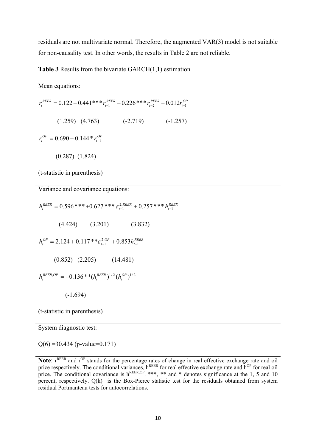residuals are not multivariate normal. Therefore, the augmented VAR(3) model is not suitable for non-causality test. In other words, the results in Table 2 are not reliable.

> *REER t*

**Table 3** Results from the bivariate GARCH(1,1) estimation

| Mean equations:                                                                                       |                       |
|-------------------------------------------------------------------------------------------------------|-----------------------|
| $r_{t}^{REER} = 0.122 + 0.441***$ $r_{t-1}^{REER} - 0.226***$ $r_{t-2}^{REER} - 0.012$ $r_{t-1}^{OP}$ |                       |
| $(1.259)$ $(4.763)$                                                                                   | $(-2.719)$ $(-1.257)$ |
| $r_r^{OP} = 0.690 + 0.144 * r_{t-1}^{OP}$                                                             |                       |
| $(0.287)$ $(1.824)$                                                                                   |                       |
| (t-statistic in parenthesis)                                                                          |                       |

Variance and covariance equations:

*REER t REER*  $h_t^{\textit{REER}} = 0.596$  \* \* \* + $0.627$  \* \* \*  $\varepsilon_{t-\!1}^{2,\textit{REER}}$  +  $0.257$  \* \* \*  $h_{t-\!1}^{\textit{RE}}$  $= 0.596$ \*\*\*+ $0.627$ \*\*\* $\varepsilon_{t-1}^{2,REER}$  +  $0.257$ \*\*\* $h_{t-1}^R$  (4.424) (3.201) (3.832) *REER t OP t OP*  $h_t^{OP} = 2.124 + 0.117**\varepsilon_{t-1}^{2,OP} + 0.853h_{t-1}^{RE}$  $= 2.124 + 0.117** \varepsilon_{t-1}^{2,OP} + 0.853 h_{t-1}^R$  (0.852) (2.205) (14.481)  $\lambda^{OP}=-0.136$  \* \* $(h^{REER}_t)^{1/2}(h^{OP}_t)^{1/2}$ *t REER t REER OP*  $h_t^{REER,OP} = -0.136** (h_t^{REER})^{1/2} (h_t^2)$ (-1.694)

(t-statistic in parenthesis)

System diagnostic test:

 $Q(6) = 30.434$  (p-value=0.171)

Note: r<sup>REER</sup> and r<sup>OP</sup> stands for the percentage rates of change in real effective exchange rate and oil price respectively. The conditional variances, h<sup>REER</sup> for real effective exchange rate and h<sup>OP</sup> for real oil price. The conditional covariance is  $h^{\text{REER,OP}}$ . \*\*\*, \*\* and \* denotes significance at the 1, 5 and 10 percent, respectively. Q(k) is the Box-Pierce statistic test for the residuals obtained from system residual Portmanteau tests for autocorrelations.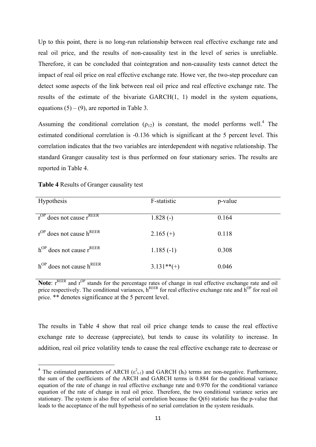Up to this point, there is no long-run relationship between real effective exchange rate and real oil price, and the results of non-causality test in the level of series is unreliable. Therefore, it can be concluded that cointegration and non-causality tests cannot detect the impact of real oil price on real effective exchange rate. Howe ver, the two-step procedure can detect some aspects of the link between real oil price and real effective exchange rate. The results of the estimate of the bivariate GARCH(1, 1) model in the system equations, equations  $(5) - (9)$ , are reported in Table 3.

Assuming the conditional correlation  $(p_{12})$  is constant, the model performs well.<sup>4</sup> The estimated conditional correlation is -0.136 which is significant at the 5 percent level. This correlation indicates that the two variables are interdependent with negative relationship. The standard Granger causality test is thus performed on four stationary series. The results are reported in Table 4.

| Hypothesis                                | F-statistic  | p-value |
|-------------------------------------------|--------------|---------|
| $r^{OP}$ does not cause $r^{REER}$        | $1.828(-)$   | 0.164   |
| $r^{OP}$ does not cause h <sup>REER</sup> | $2.165(+)$   | 0.118   |
| $h^{OP}$ does not cause $r^{REER}$        | $1.185(-1)$  | 0.308   |
| $h^{OP}$ does not cause $h^{REER}$        | $3.131**(+)$ | 0.046   |

**Table 4** Results of Granger causality test

Note: r<sup>REER</sup> and r<sup>OP</sup> stands for the percentage rates of change in real effective exchange rate and oil price respectively. The conditional variances,  $h^{REER}$  for real effective exchange rate and  $h^{OP}$  for real oil price. \*\* denotes significance at the 5 percent level.

The results in Table 4 show that real oil price change tends to cause the real effective exchange rate to decrease (appreciate), but tends to cause its volatility to increase. In addition, real oil price volatility tends to cause the real effective exchange rate to decrease or

<sup>&</sup>lt;sup>4</sup> The estimated parameters of ARCH ( $\varepsilon_{t-1}^2$ ) and GARCH ( $h_t$ ) terms are non-negative. Furthermore, the sum of the coefficients of the ARCH and GARCH terms is 0.884 for the conditional variance equation of the rate of change in real effective exchange rate and 0.970 for the conditional variance equation of the rate of change in real oil price. Therefore, the two conditional variance series are stationary. The system is also free of serial correlation because the  $Q(6)$  statistic has the p-value that leads to the acceptance of the null hypothesis of no serial correlation in the system residuals.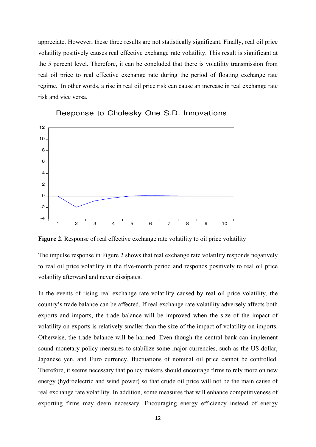appreciate. However, these three results are not statistically significant. Finally, real oil price volatility positively causes real effective exchange rate volatility. This result is significant at the 5 percent level. Therefore, it can be concluded that there is volatility transmission from real oil price to real effective exchange rate during the period of floating exchange rate regime. In other words, a rise in real oil price risk can cause an increase in real exchange rate risk and vice versa.



Response to Cholesky One S.D. Innovations

**Figure 2**. Response of real effective exchange rate volatility to oil price volatility

The impulse response in Figure 2 shows that real exchange rate volatility responds negatively to real oil price volatility in the five-month period and responds positively to real oil price volatility afterward and never dissipates.

In the events of rising real exchange rate volatility caused by real oil price volatility, the country's trade balance can be affected. If real exchange rate volatility adversely affects both exports and imports, the trade balance will be improved when the size of the impact of volatility on exports is relatively smaller than the size of the impact of volatility on imports. Otherwise, the trade balance will be harmed. Even though the central bank can implement sound monetary policy measures to stabilize some major currencies, such as the US dollar, Japanese yen, and Euro currency, fluctuations of nominal oil price cannot be controlled. Therefore, it seems necessary that policy makers should encourage firms to rely more on new energy (hydroelectric and wind power) so that crude oil price will not be the main cause of real exchange rate volatility. In addition, some measures that will enhance competitiveness of exporting firms may deem necessary. Encouraging energy efficiency instead of energy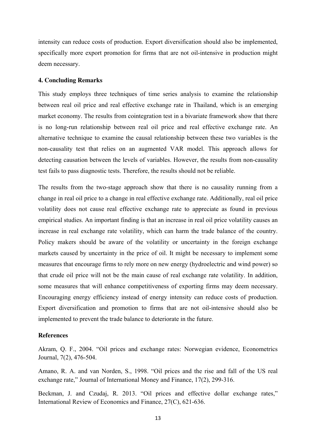intensity can reduce costs of production. Export diversification should also be implemented, specifically more export promotion for firms that are not oil-intensive in production might deem necessary.

## **4. Concluding Remarks**

This study employs three techniques of time series analysis to examine the relationship between real oil price and real effective exchange rate in Thailand, which is an emerging market economy. The results from cointegration test in a bivariate framework show that there is no long-run relationship between real oil price and real effective exchange rate. An alternative technique to examine the causal relationship between these two variables is the non-causality test that relies on an augmented VAR model. This approach allows for detecting causation between the levels of variables. However, the results from non-causality test fails to pass diagnostic tests. Therefore, the results should not be reliable.

The results from the two-stage approach show that there is no causality running from a change in real oil price to a change in real effective exchange rate. Additionally, real oil price volatility does not cause real effective exchange rate to appreciate as found in previous empirical studies. An important finding is that an increase in real oil price volatility causes an increase in real exchange rate volatility, which can harm the trade balance of the country. Policy makers should be aware of the volatility or uncertainty in the foreign exchange markets caused by uncertainty in the price of oil. It might be necessary to implement some measures that encourage firms to rely more on new energy (hydroelectric and wind power) so that crude oil price will not be the main cause of real exchange rate volatility. In addition, some measures that will enhance competitiveness of exporting firms may deem necessary. Encouraging energy efficiency instead of energy intensity can reduce costs of production. Export diversification and promotion to firms that are not oil-intensive should also be implemented to prevent the trade balance to deteriorate in the future.

## **References**

Akram, Q. F., 2004. "Oil prices and exchange rates: Norwegian evidence, Econometrics Journal, 7(2), 476-504.

Amano, R. A. and van Norden, S., 1998. "Oil prices and the rise and fall of the US real exchange rate," Journal of International Money and Finance, 17(2), 299-316.

Beckman, J. and Czudaj, R. 2013. "Oil prices and effective dollar exchange rates," International Review of Economics and Finance, 27(C), 621-636.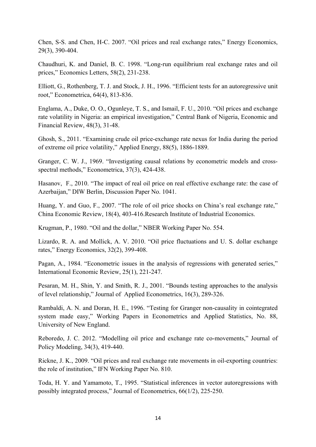Chen, S-S. and Chen, H-C. 2007. "Oil prices and real exchange rates," Energy Economics, 29(3), 390-404.

Chaudhuri, K. and Daniel, B. C. 1998. "Long-run equilibrium real exchange rates and oil prices," Economics Letters, 58(2), 231-238.

Elliott, G., Rothenberg, T. J. and Stock, J. H., 1996. "Efficient tests for an autoregressive unit root," Econometrica, 64(4), 813-836.

Englama, A., Duke, O. O., Ogunleye, T. S., and Ismail, F. U., 2010. "Oil prices and exchange rate volatility in Nigeria: an empirical investigation," Central Bank of Nigeria, Economic and Financial Review, 48(3), 31-48.

Ghosh, S., 2011. "Examining crude oil price-exchange rate nexus for India during the period of extreme oil price volatility," Applied Energy, 88(5), 1886-1889.

Granger, C. W. J., 1969. "Investigating causal relations by econometric models and crossspectral methods," Econometrica, 37(3), 424-438.

Hasanov, F., 2010. "The impact of real oil price on real effective exchange rate: the case of Azerbaijan," DIW Berlin, Discussion Paper No. 1041.

Huang, Y. and Guo, F., 2007. "The role of oil price shocks on China's real exchange rate," China Economic Review, 18(4), 403-416.Research Institute of Industrial Economics.

Krugman, P., 1980. "Oil and the dollar," NBER Working Paper No. 554.

Lizardo, R. A. and Mollick, A. V. 2010. "Oil price fluctuations and U. S. dollar exchange rates," Energy Economics, 32(2), 399-408.

Pagan, A., 1984. "Econometric issues in the analysis of regressions with generated series," International Economic Review, 25(1), 221-247.

Pesaran, M. H., Shin, Y. and Smith, R. J., 2001. "Bounds testing approaches to the analysis of level relationship," Journal of Applied Econometrics, 16(3), 289-326.

Rambaldi, A. N. and Doran, H. E., 1996. "Testing for Granger non-causality in cointegrated system made easy," Working Papers in Econometrics and Applied Statistics, No. 88, University of New England.

Reboredo, J. C. 2012. "Modelling oil price and exchange rate co-movements," Journal of Policy Modeling, 34(3), 419-440.

Rickne, J. K., 2009. "Oil prices and real exchange rate movements in oil-exporting countries: the role of institution," IFN Working Paper No. 810.

Toda, H. Y. and Yamamoto, T., 1995. "Statistical inferences in vector autoregressions with possibly integrated process," Journal of Econometrics, 66(1/2), 225-250.